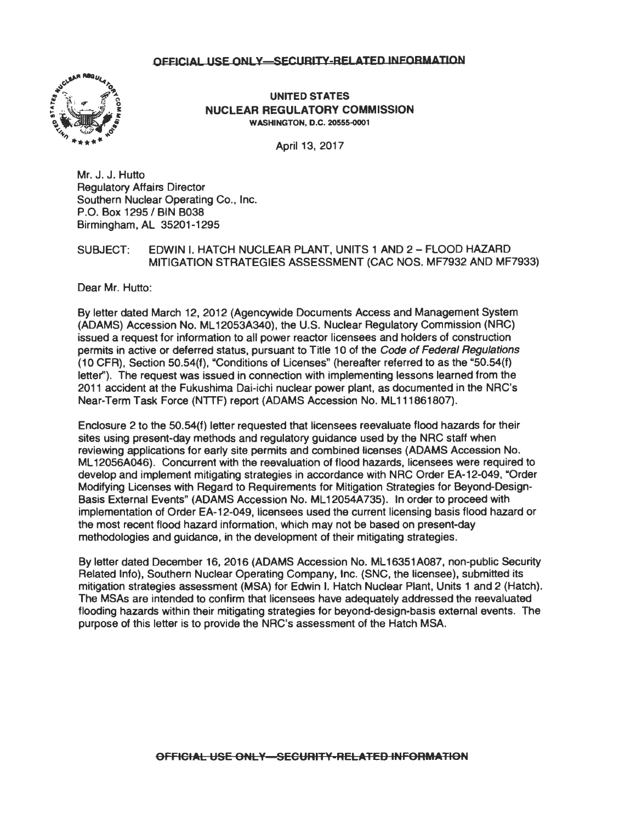

UNITED STATES NUCLEAR REGULATORY COMMISSION WASHINGTON, D.C. 20555-0001

April 13, 2017

Mr. J. J. Hutto Regulatory Affairs Director Southern Nuclear Operating Co., Inc. P.O. Box 1295 / BIN B038 Birmingham, AL 35201-1295

## SUBJECT: EDWIN I. HATCH NUCLEAR PLANT, UNITS 1 AND 2 - FLOOD HAZARD MITIGATION STRATEGIES ASSESSMENT (CAC NOS. MF7932 AND MF7933)

Dear Mr. Hutto:

By letter dated March 12, 2012 (Agencywide Documents Access and Management System (ADAMS) Accession No. ML 12053A340), the U.S. Nuclear Regulatory Commission (NRC) issued a request for information to all power reactor licensees and holders of construction permits in active or deferred status, pursuant to Title 10 of the Code of Federal Regulations (10 CFR), Section 50.54(f), "Conditions of Licenses" (hereafter referred to as the "50.54(f) letter"). The request was issued in connection with implementing lessons learned from the 2011 accident at the Fukushima Dai-ichi nuclear power plant, as documented in the NRC's Near-Term Task Force (NTTF) report (ADAMS Accession No. ML111861807).

Enclosure 2 to the 50.54(f) letter requested that licensees reevaluate flood hazards for their sites using present-day methods and regulatory guidance used by the NRC staff when reviewing applications for early site permits and combined licenses (ADAMS Accession No. ML 12056A046). Concurrent with the reevaluation of flood hazards, licensees were required to develop and implement mitigating strategies in accordance with NRC Order EA-12-049, "Order Modifying Licenses with Regard to Requirements for Mitigation Strategies for Beyond-Design-Basis External Events" (ADAMS Accession No. ML 12054A735). In order to proceed with implementation of Order EA-12-049, licensees used the current licensing basis flood hazard or the most recent flood hazard information, which may not be based on present-day methodologies and guidance, in the development of their mitigating strategies.

By letter dated December 16, 2016 (ADAMS Accession No. ML 16351A087, non-public Security Related Info), Southern Nuclear Operating Company, Inc. (SNC, the licensee), submitted its mitigation strategies assessment (MSA) for Edwin I. Hatch Nuclear Plant, Units 1 and 2 (Hatch). The MSAs are intended to confirm that licensees have adequately addressed the reevaluated flooding hazards within their mitigating strategies for beyond-design-basis external events. The purpose of this letter is to provide the NRC's assessment of the Hatch MSA.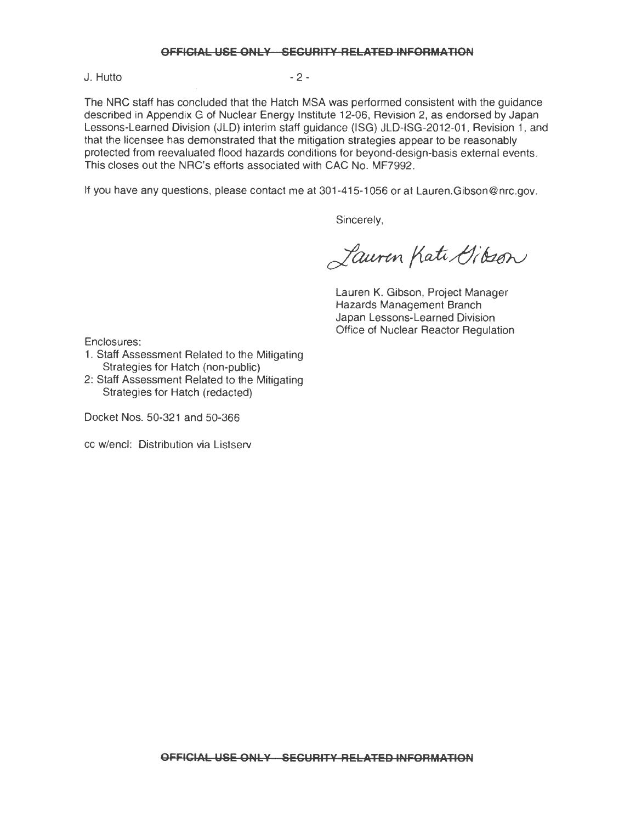J. Hutto - 2 -

The NRC staff has concluded that the Hatch MSA was performed consistent with the guidance described in Appendix G of Nuclear Energy Institute 12-06, Revision 2, as endorsed by Japan Lessons-Learned Division (JLD) interim staff guidance (ISG) JLD-ISG-2012-01, Revision 1, and that the licensee has demonstrated that the mitigation strategies appear to be reasonably protected from reevaluated flood hazards conditions for beyond-design-basis external events. This closes out the NRC's efforts associated with CAC No. MF7992.

If you have any questions, please contact me at 301-415-1056 or at Lauren.Gibson@nrc.gov.

Sincerely,

Lauren Kati Gibson

Lauren K. Gibson, Project Manager Hazards Management Branch Japan Lessons-Learned Division Office of Nuclear Reactor Regulation

Enclosures:

- 1. Staff Assessment Related to the Mitigating Strategies for Hatch (non-public)
- 2: Staff Assessment Related to the Mitigating Strategies for Hatch (redacted)

Docket Nos. 50-321 and 50-366

cc w/encl: Distribution via Listserv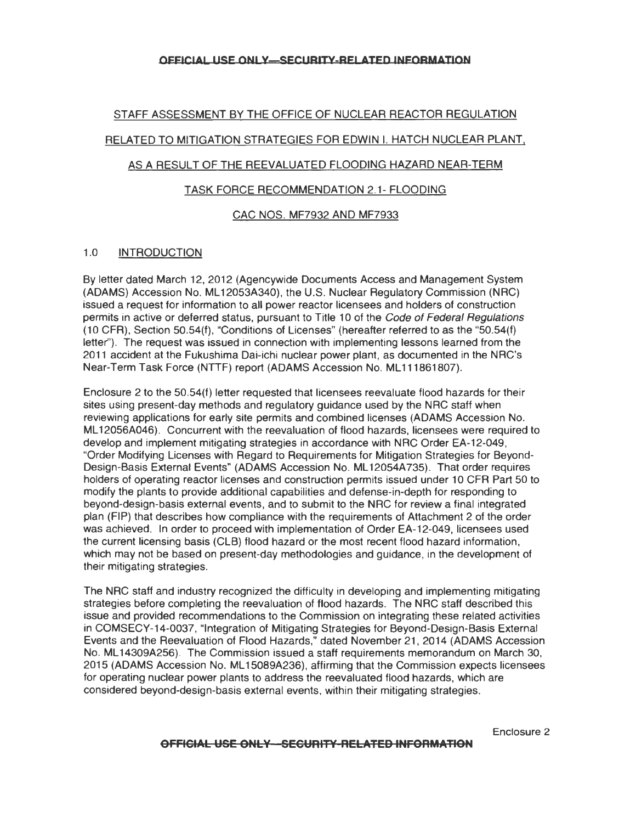# STAFF ASSESSMENT BY THE OFFICE OF NUCLEAR REACTOR REGULATION RELATED TO MITIGATION STRATEGIES FOR EDWIN I. HATCH NUCLEAR PLANT, AS A RESULT OF THE REEVALUATED FLOODING HAZARD NEAR-TERM

# TASK FORCE RECOMMENDATION 2.1- FLOODING

## CAC NOS. MF7932 AND MF7933

## 1.0 INTRODUCTION

By letter dated March 12, 2012 (Agencywide Documents Access and Management System (ADAMS) Accession No. ML 12053A340), the U.S. Nuclear Regulatory Commission (NRC) issued a request for information to all power reactor licensees and holders of construction permits in active or deferred status, pursuant to Title 10 of the Code of Federal Regulations (10 CFR), Section 50.54(f), "Conditions of Licenses" (hereafter referred to as the "50.54(f) letter"). The request was issued in connection with implementing lessons learned from the 2011 accident at the Fukushima Dai-ichi nuclear power plant, as documented in the NRC's Near-Term Task Force (NTTF) report (ADAMS Accession No. ML111861807).

Enclosure 2 to the 50.54(f) letter requested that licensees reevaluate flood hazards for their sites using present-day methods and regulatory guidance used by the NRC staff when reviewing applications for early site permits and combined licenses (ADAMS Accession No. ML 12056A046). Concurrent with the reevaluation of flood hazards, licensees were required to develop and implement mitigating strategies in accordance with NRC Order EA-12-049, "Order Modifying Licenses with Regard to Requirements for Mitigation Strategies for Beyond-Design-Basis External Events" (ADAMS Accession No. ML12054A735). That order requires holders of operating reactor licenses and construction permits issued under 10 CFR Part 50 to modify the plants to provide additional capabilities and defense-in-depth for responding to beyond-design-basis external events, and to submit to the NRC for review a final integrated plan (FIP) that describes how compliance with the requirements of Attachment 2 of the order was achieved. In order to proceed with implementation of Order EA-12-049, licensees used the current licensing basis (CLB) flood hazard or the most recent flood hazard information, which may not be based on present-day methodologies and guidance, in the development of their mitigating strategies.

The NRC staff and industry recognized the difficulty in developing and implementing mitigating strategies before completing the reevaluation of flood hazards. The NRC staff described this issue and provided recommendations to the Commission on integrating these related activities in COMSECY-14-0037, "Integration of Mitigating Strategies for Beyond-Design-Basis External Events and the Reevaluation of Flood Hazards," dated November 21 , 2014 (ADAMS Accession No. ML 14309A256). The Commission issued a staff requirements memorandum on March 30, 2015 (ADAMS Accession No. ML 15089A236), affirming that the Commission expects licensees for operating nuclear power plants to address the reevaluated flood hazards, which are considered beyond-design-basis external events, within their mitigating strategies.

Enclosure 2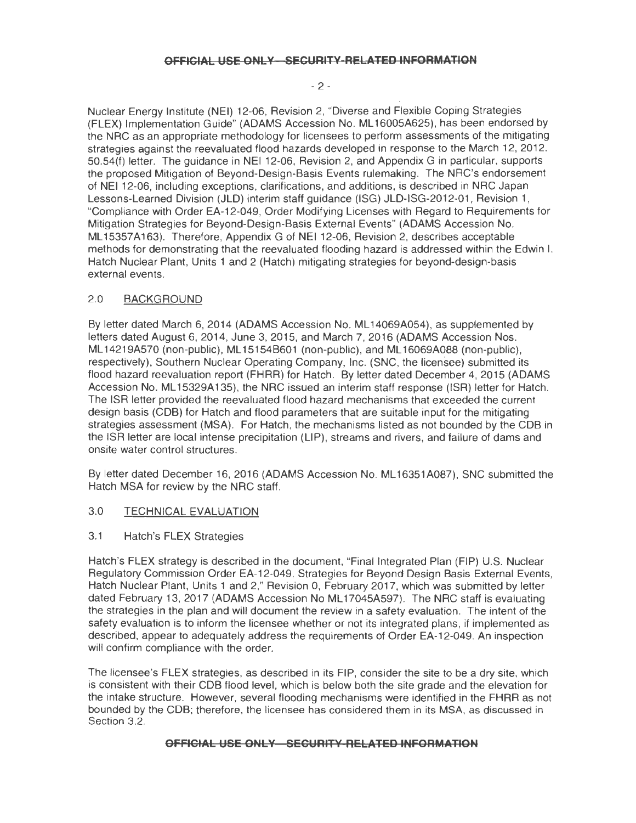#### $-2 -$

Nuclear Energy Institute (NEI) 12-06, Revision 2, "Diverse and Flexible Coping Strategies (FLEX) Implementation Guide" (ADAMS Accession No. ML 16005A625), has been endorsed by the NRC as an appropriate methodology for licensees to perform assessments of the mitigating strategies against the reevaluated flood hazards developed in response to the March 12, 2012, 50.54(f) letter. The guidance in NEI 12-06, Revision 2, and Appendix Gin particular, supports the proposed Mitigation of Beyond-Design-Basis Events rulemaking. The NRC's endorsement of NEI 12-06, including exceptions, clarifications, and additions, is described in NRC Japan Lessons-Learned Division (JLD) interim staff guidance (ISG) JLD-ISG-2012-01 , Revision 1, "Compliance with Order EA-12-049, Order Modifying Licenses with Regard to Requirements for Mitigation Strategies for Beyond-Design-Basis External Events" (ADAMS Accession No. ML15357A163). Therefore, Appendix G of NEI 12-06, Revision 2, describes acceptable methods for demonstrating that the reevaluated flooding hazard is addressed within the Edwin I. Hatch Nuclear Plant, Units 1 and 2 (Hatch) mitigating strategies for beyond-design-basis external events.

## 2.0 BACKGROUND

By letter dated March 6, 2014 (ADAMS Accession No. ML 14069A054), as supplemented by letters dated August 6, 2014, June 3, 2015, and March 7, 2016 (ADAMS Accession Nos. ML 14219A570 (non-public), ML 15154B601 (non-public), and ML 16069A088 (non-public), respectively), Southern Nuclear Operating Company, Inc. (SNC, the licensee) submitted its flood hazard reevaluation report (FHRR) for Hatch. By letter dated December 4, 2015 (ADAMS Accession No. ML 15329A 135), the NRC issued an interim staff response (ISR) letter for Hatch. The ISR letter provided the reevaluated flood hazard mechanisms that exceeded the current design basis (COB) for Hatch and flood parameters that are suitable input for the mitigating strategies assessment (MSA). For Hatch, the mechanisms listed as not bounded by the COB in the ISR letter are local intense precipitation (LIP), streams and rivers, and failure of dams and onsite water control structures.

By letter dated December 16, 2016 (ADAMS Accession No. ML16351A087), SNC submitted the Hatch MSA for review by the NRC staff.

## 3.0 TECHNICAL EVALUATION

3.1 Hatch's FLEX Strategies

Hatch's FLEX strategy is described in the document, "Final Integrated Plan (FIP) U.S. Nuclear Regulatory Commission Order EA-12-049, Strategies for Beyond Design Basis External Events, Hatch Nuclear Plant, Units 1 and 2," Revision 0, February 2017, which was submitted by letter dated February 13, 2017 (ADAMS Accession No ML 17045A597). The NRC staff is evaluating the strategies in the plan and will document the review in a safety evaluation. The intent of the satety evaluation is to inform the licensee whether or not its integrated plans, if implemented as described, appear to adequately address the requirements of Order EA-12-049. An inspection will confirm compliance with the order.

The licensee's FLEX strategies, as described in its FIP, consider the site to be a dry site, which is consistent with their COB flood level, which is below both the site grade and the elevation for the intake structure. However, several flooding mechanisms were identified in the FHRR as not bounded by the COB; therefore. the licensee has considered them in its MSA, as discussed in Section 3.2.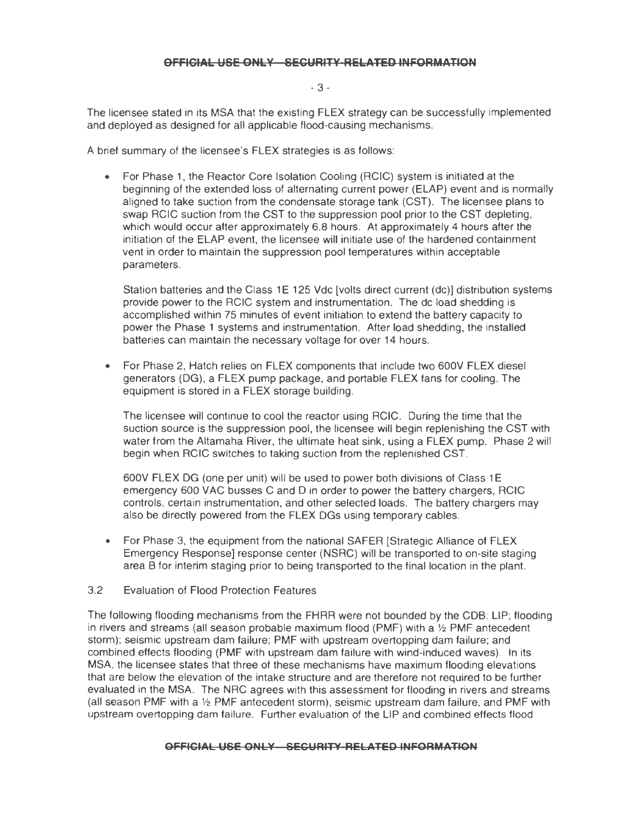#### - 3 -

The licensee stated in its MSA that the existing FLEX strategy can be successfully implemented and deployed as designed for all applicable flood-causing mechanisms.

A brief summary of the licensee's FLEX strategies is as follows:

• For Phase 1, the Reactor Core Isolation Cooling (RCIC) system is initiated at the beginning of the extended loss of alternating current power (ELAP) event and is normally aligned to take suction from the condensate storage tank (CST). The licensee plans to swap RCIC suction from the CST to the suppression pool prior to the CST depleting, which would occur after approximately 6.8 hours. At approximately 4 hours after the initiation of the ELAP event, the licensee will initiate use of the hardened containment vent in order to maintain the suppression pool temperatures within acceptable parameters.

Station batteries and the Class 1E 125 Vdc [volts direct current (dc)] distribution systems provide power to the RCIC system and instrumentation. The de load shedding is accomplished within 75 minutes of event initiation to extend the battery capacity to power the Phase 1 systems and instrumentation. After load shedding, the installed batteries can maintain the necessary voltage for over 14 hours.

• For Phase 2, Hatch relies on FLEX components that include two 600V FLEX diesel generators (OG), a FLEX pump package, and portable FLEX fans for cooling. The equipment is stored in a FLEX storage building.

The licensee will continue to cool the reactor using RCIC. During the time that the suction source is the suppression pool, the licensee will begin replenishing the CST with water from the Altamaha River, the ultimate heat sink, using a FLEX pump. Phase 2 will begin when RCIC switches to taking suction from the replenished CST.

600V FLEX DG (one per unit) will be used to power both divisions of Class 1 E emergency 600 VAC busses C and D in order to power the battery chargers, RCIC controls, certain instrumentation, and other selected loads. The battery chargers may also be directly powered from the FLEX DGs using temporary cables.

- For Phase 3, the equipment from the national SAFER [Strategic Alliance of FLEX Emergency Response] response center (NSRC) will be transported to on-site staging area B for interim staging prior to being transported to the final location in the plant.
- 3.2 Evaluation of Flood Protection Features

The following flooding mechanisms from the FHRR were not bounded by the COB: LIP; flooding in rivers and streams (all season probable maximum flood (PMF) with a  $1/2$  PMF antecedent storm); seismic upstream dam failure; PMF with upstream overtopping dam failure; and combined effects flooding (PMF with upstream dam failure with wind-induced waves). In its MSA, the licensee states that three of these mechanisms have maximum flooding elevations that are below the elevation of the intake structure and are therefore not required to be further evaluated in the MSA. The NRC agrees with this assessment for flooding in rivers and streams (all season PMF with a *Y2* PMF antecedent storm), seismic upstream dam failure, and PMF with upstream overtopping dam failure. Further evaluation of the LIP and combined effects flood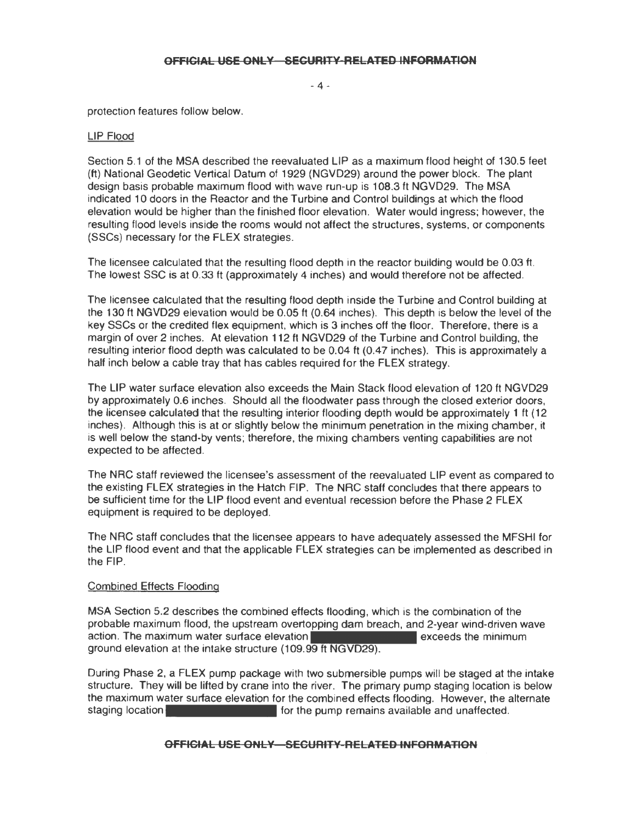- 4 -

protection features follow below.

#### LIP Flood

Section 5.1 of the MSA described the reevaluated LIP as a maximum flood height of 130.5 feet (ft) National Geodetic Vertical Datum of 1929 (NGVD29) around the power block. The plant design basis probable maximum flood with wave run-up is 108.3 ft NGVD29. The MSA indicated 10 doors in the Reactor and the Turbine and Control buildings at which the flood elevation would be higher than the finished floor elevation. Water would ingress; however, the resulting flood levels inside the rooms would not affect the structures, systems, or components (SSCs) necessary for the FLEX strategies.

The licensee calculated that the resulting flood depth in the reactor building would be 0.03 ft. The lowest SSC is at 0.33 ft (approximately 4 inches) and would therefore not be affected.

The licensee calculated that the resulting flood depth inside the Turbine and Control building at the 130 ft NGVD29 elevation would be 0.05 ft (0.64 inches). This depth is below the level of the key SSCs or the credited flex equipment, which is 3 inches off the floor. Therefore, there is a margin of over 2 inches. At elevation 112 ft NGVD29 of the Turbine and Control building, the resulting interior flood depth was calculated to be 0.04 ft (0.47 inches). This is approximately a half inch below a cable tray that has cables required for the FLEX strategy.

The LIP water surface elevation also exceeds the Main Stack flood elevation of 120 ft NGVD29 by approximately 0.6 inches. Should all the floodwater pass through the closed exterior doors, the licensee calculated that the resulting interior flooding depth would be approximately 1 ft (12 inches). Although this is at or slightly below the minimum penetration in the mixing chamber, it is well below the stand-by vents; therefore, the mixing chambers venting capabilities are not expected to be affected.

The NRC staff reviewed the licensee's assessment of the reevaluated LIP event as compared to the existing FLEX strategies in the Hatch FIP. The NRC staff concludes that there appears to be sufficient time for the LIP flood event and eventual recession before the Phase 2 FLEX equipment is required to be deployed.

The NRC staff concludes that the licensee appears to have adequately assessed the MFSHI for the LIP flood event and that the applicable FLEX strategies can be implemented as described in the FIP.

#### Combined Effects Flooding

MSA Section 5.2 describes the combined effects flooding, which is the combination of the probable maximum flood, the upstream overtopping dam breach, and 2-year wind-driven wave action. The maximum water surface elevation **Example 2018** exceeds the minimum ground elevation at the intake structure (109.99 ft NGVD29).

During Phase 2, a FLEX pump package with two submersible pumps will be staged at the intake structure. They will be lifted by crane into the river. The primary pump staging location is below the maximum water surface elevation for the combined effects flooding. However, the alternate staging location **for the pump remains available and unaffected.**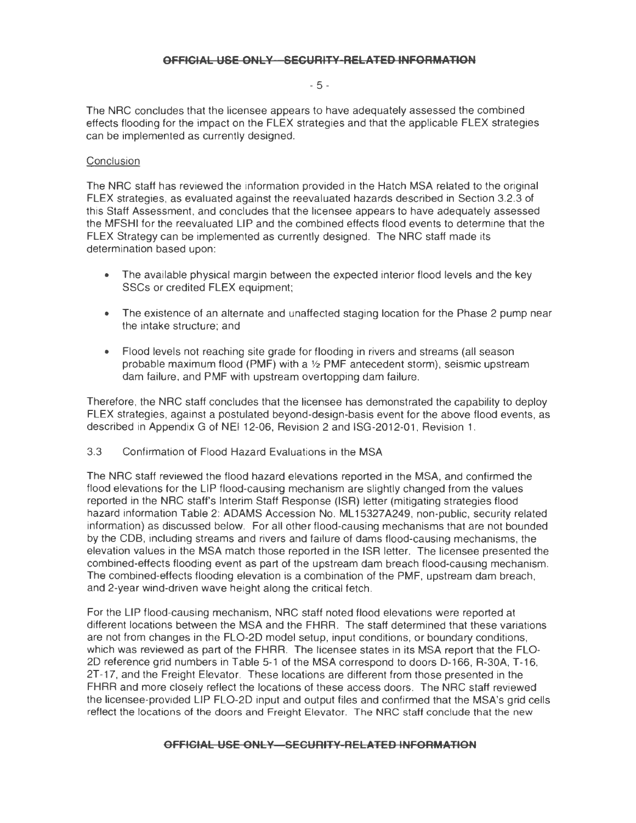- 5 -

The NRC concludes that the licensee appears to have adequately assessed the combined effects flooding for the impact on the FLEX strategies and that the applicable FLEX strategies can be implemented as currently designed.

### **Conclusion**

The NRC staff has reviewed the information provided in the Hatch MSA related to the original FLEX strategies, as evaluated against the reevaluated hazards described in Section 3.2.3 of this Staff Assessment, and concludes that the licensee appears to have adequately assessed the MFSHI tor the reevaluated LIP and the combined effects flood events to determine that the FLEX Strategy can be implemented as currently designed. The NRC staff made its determination based upon:

- The available physical margin between the expected interior flood levels and the key SSCs or credited FLEX equipment;
- The existence of an alternate and unaffected staging location for the Phase 2 pump near the intake structure; and
- Flood levels not reaching site grade for flooding in rivers and streams (all season probable maximum flood (PMF) with a  $\frac{1}{2}$  PMF antecedent storm), seismic upstream dam failure, and PMF with upstream overtopping dam failure.

Therefore, the NRC staff concludes that the licensee has demonstrated the capability to deploy FLEX strategies, against a postulated beyond-design-basis event tor the above flood events, as described in Appendix G of NEI 12-06, Revision 2 and ISG-2012-01 , Revision 1.

3.3 Confirmation of Flood Hazard Evaluations in the MSA

The NRC staff reviewed the flood hazard elevations reported in the MSA, and confirmed the flood elevations tor the LIP flood-causing mechanism are slightly changed from the values reported in the NRC staff's Interim Staff Response (ISR) letter (mitigating strategies flood hazard information Table 2: ADAMS Accession No. ML15327A249, non-public, security related information) as discussed below. For all other flood-causing mechanisms that are not bounded by the COB, including streams and rivers and failure of dams flood-causing mechanisms, the elevation values in the MSA match those reported in the ISR letter. The licensee presented the combined-effects flooding event as part of the upstream dam breach flood-causing mechanism. The combined-effects flooding elevation is a combination of the PMF, upstream dam breach, and 2-year wind-driven wave height along the critical fetch.

For the LIP flood-causing mechanism, NRC staff noted flood elevations were reported at different locations between the MSA and the FHRA. The staff determined that these variations are not from changes in the FL0-20 model setup, input conditions, or boundary conditions, which was reviewed as part of the FHRA. The licensee states in its MSA report that the FL0- 20 reference grid numbers in Table 5-1 of the MSA correspond to doors D-166, R-30A, T-16, 2T-17, and the Freight Elevator. These locations are different from those presented in the FHRR and more closely reflect the locations of these access doors. The NRC staff reviewed the licensee-provided LIP FL0-20 input and output files and confirmed that the MSA's grid cells reflect the locations of the doors and Freight Elevator. The NRC staff conclude that the new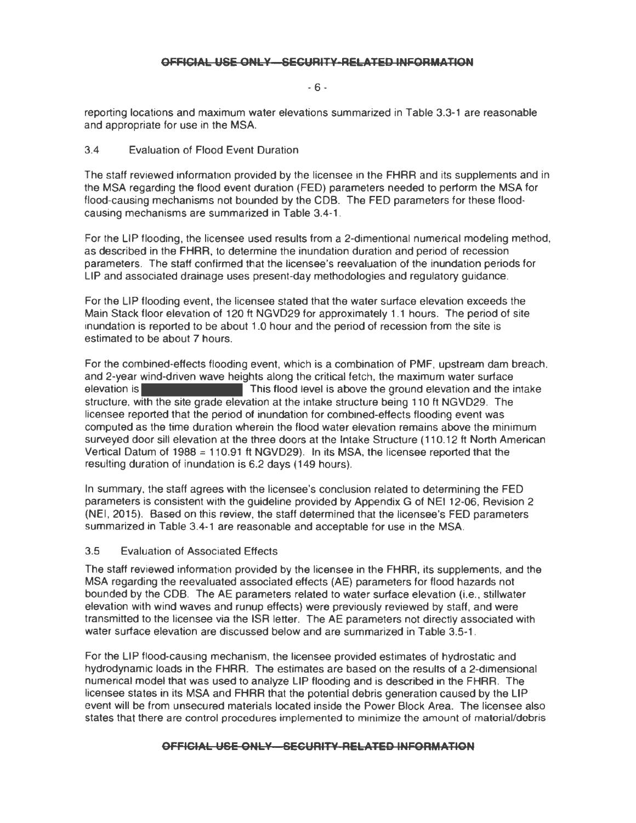- 6 -

reporting locations and maximum water elevations summarized in Table 3.3-1 are reasonable and appropriate for use in the MSA.

## 3.4 Evaluation of Flood Event Duration

The staff reviewed information provided by the licensee in the FHRR and its supplements and in the MSA regarding the flood event duration (FED) parameters needed to perform the MSA for flood-causing mechanisms not bounded by the COB. The FED parameters for these floodcausing mechanisms are summarized in Table 3.4-1 .

For the UP flooding, the licensee used results from a 2-dimentional numerical modeling method, as described in the FHAR, to determine the inundation duration and period of recession parameters. The staff confirmed that the licensee's reevaluation of the inundation periods for LIP and associated drainage uses present-day methodologies and regulatory guidance.

For the LIP flooding event, the licensee stated that the water surface elevation exceeds the Main Stack floor elevation of 120 ft NGVD29 for approximately 1.1 hours. The period of site inundation is reported to be about 1 .0 hour and the period of recession from the site is estimated to be about 7 hours.

For the combined-effects flooding event, which is a combination of PMF, upstream dam breach, and 2-year wind-driven wave heights along the critical fetch, the maximum water surface elevation is **This flood level is above the ground elevation and the intake** structure, with the site grade elevation at the intake structure being 110 ft NGVD29. The licensee reported that the period of inundation for combined-effects flooding event was computed as the time duration wherein the flood water elevation remains above the minimum surveyed door sill elevation at the three doors at the Intake Structure ( 110.12 ft North American Vertical Datum of 1988 = 110.91 ft NGVD29). In its MSA, the licensee reported that the resulting duration of inundation is 6.2 days (149 hours).

In summary, the staff agrees with the licensee's conclusion related to determining the FED parameters is consistent with the guideline provided by Appendix G of NEI 12-06, Revision 2 (NEI, 2015). Based on this review, the staff determined that the licensee's FED parameters summarized in Table 3.4-1 are reasonable and acceptable for use in the MSA.

#### 3.5 Evaluation of Associated Effects

The staff reviewed information provided by the licensee in the FHAA, its supplements, and the MSA regarding the reevaluated associated effects (AE) parameters for flood hazards not bounded by the COB. The AE parameters related to water surface elevation (i.e., stillwater elevation with wind waves and runup effects) were previously reviewed by staff, and were transmitted to the licensee via the ISA letter. The AE parameters not directly associated with water surface elevation are discussed below and are summarized in Table 3.5-1 .

For the LIP flood-causing mechanism, the licensee provided estimates of hydrostatic and hydrodynamic loads in the FHRR. The estimates are based on the results of a 2-dimensional numerical model that was used to analyze LIP flooding and is described in the FHRR. The licensee states in its MSA and FHRR that the potential debris generation caused by the LIP event will be from unsecured materials located inside the Power Block Area. The licensee also states that there are control procedures implemented to minimize the amount of material/debris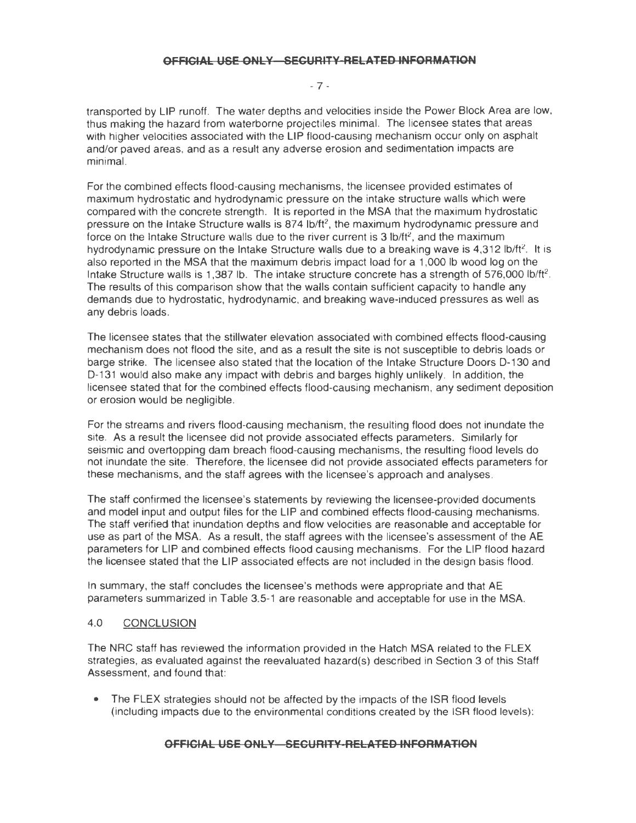- 7 -

transported by LIP runoff. The water depths and velocities inside the Power Block Area are low, thus making the hazard from waterborne projectiles minimal. The licensee states that areas with higher velocities associated with the LIP flood-causing mechanism occur only on asphalt and/or paved areas, and as a result any adverse erosion and sedimentation impacts are minimal.

For the combined effects flood-causing mechanisms, the licensee provided estimates of maximum hydrostatic and hydrodynamic pressure on the intake structure walls which were compared with the concrete strength. It is reported in the MSA that the maximum hydrostatic pressure on the Intake Structure walls is 874 lb/ft<sup>2</sup>, the maximum hydrodynamic pressure and force on the Intake Structure walls due to the river current is 3  $\frac{1}{12}$  and the maximum hydrodynamic pressure on the Intake Structure walls due to a breaking wave is  $4,312$  lb/ft<sup>2</sup>. It is also reported in the MSA that the maximum debris impact load for a 1,000 lb wood log on the Intake Structure walls is 1,387 lb. The intake structure concrete has a strength of 576,000 lb/ft<sup>2</sup>. The results of this comparison show that the walls contain sufficient capacity to handle any demands due to hydrostatic, hydrodynamic, and breaking wave-induced pressures as well as any debris loads.

The licensee states that the stillwater elevation associated with combined effects flood-causing mechanism does not flood the site, and as a result the site is not susceptible to debris loads or barge strike. The licensee also stated that the location of the Intake Structure Doors D-130 and D-131 would also make any impact with debris and barges highly unlikely. In addition, the licensee stated that for the combined effects flood-causing mechanism, any sediment deposition or erosion would be negligible.

For the streams and rivers flood-causing mechanism, the resulting flood does not inundate the site. As a result the licensee did not provide associated effects parameters. Similarly for seismic and overtopping dam breach flood-causing mechanisms, the resulting flood levels do not inundate the site. Therefore, the licensee did not provide associated effects parameters for these mechanisms, and the staff agrees with the licensee's approach and analyses.

The staff confirmed the licensee's statements by reviewing the licensee-provided documents and model input and output files for the LIP and combined effects flood-causing mechanisms. The staff verified that inundation depths and flow velocities are reasonable and acceptable for use as part of the MSA. As a result, the staff agrees with the licensee's assessment of the AE parameters for LIP and combined effects flood causing mechanisms. For the LIP flood hazard the licensee stated that the LIP associated effects are not included in the design basis flood.

In summary, the staff concludes the licensee's methods were appropriate and that AE parameters summarized in Table 3.5-1 are reasonable and acceptable for use in the MSA.

## 4.0 CONCLUSION

The NRC staff has reviewed the information provided in the Hatch MSA related to the FLEX strategies, as evaluated against the reevaluated hazard(s) described in Section 3 of this Staff Assessment, and found that:

• The FLEX strategies should not be affected by the impacts of the ISR flood levels (including impacts due to the environmental conditions created by the ISR flood levels);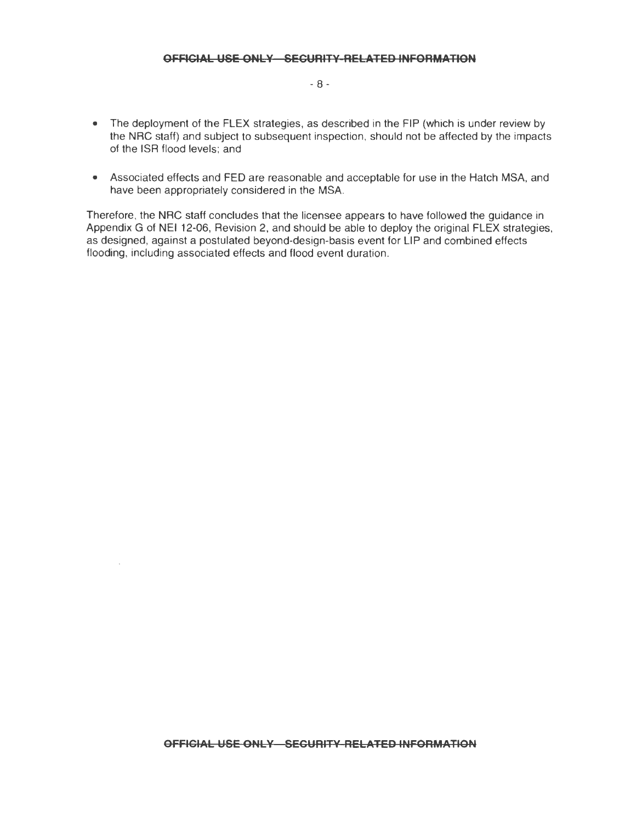- 8 -

- The deployment of the FLEX strategies, as described in the FIP (which is under review by the NRG staff) and subject to subsequent inspection, should not be affected by the impacts of the ISR flood levels; and
- Associated effects and FED are reasonable and acceptable for use in the Hatch MSA, and have been appropriately considered in the MSA.

Therefore, the NRG staff concludes that the licensee appears to have followed the guidance in Appendix G of NEI 12-06, Revision 2, and should be able to deploy the original FLEX strategies, as designed, against a postulated beyond-design-basis event for LIP and combined effects flooding, including associated effects and flood event duration.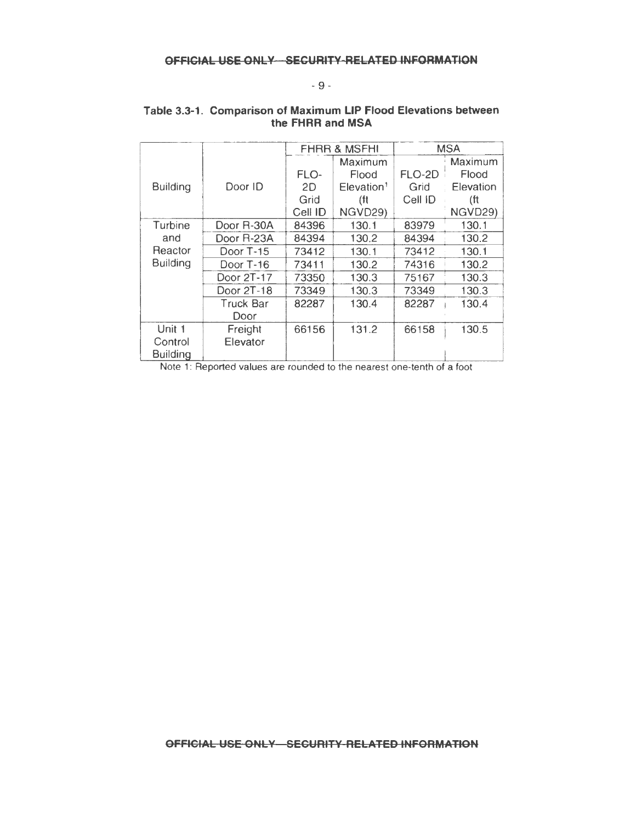# - 9 -

|                 |            | <b>FHRR &amp; MSFHI</b> |                           | <b>MSA</b> |           |
|-----------------|------------|-------------------------|---------------------------|------------|-----------|
|                 |            |                         | Maximum                   |            | Maximum   |
|                 |            | FLO-                    | Flood                     | FLO-2D     | Flood     |
| <b>Building</b> | Door ID    | 2D                      | $E$ levation <sup>1</sup> | Grid       | Elevation |
|                 |            | Grid                    | (ft                       | Cell ID    | (ft       |
|                 |            | Cell ID                 | NGVD29)                   |            | NGVD29)   |
| Turbine         | Door R-30A | 84396                   | 130.1                     | 83979      | 130.1     |
| and             | Door R-23A | 84394                   | 130.2                     | 84394      | 130.2     |
| Reactor         | Door T-15  | 73412                   | 130.1                     | 73412      | 130.1     |
| <b>Building</b> | Door T-16  | 73411                   | 130.2                     | 74316      | 130.2     |
|                 | Door 2T-17 | 73350                   | 130.3                     | 75167      | 130.3     |
|                 | Door 2T-18 | 73349                   | 130.3                     | 73349      | 130.3     |
|                 | Truck Bar  | 82287                   | 130.4                     | 82287      | 130.4     |
|                 | Door       |                         |                           |            |           |
| Unit 1          | Freight    | 66156                   | 131.2                     | 66158      | 130.5     |
| Control         | Elevator   |                         |                           |            |           |
| <b>Building</b> |            |                         |                           |            |           |

## **Table 3.3-1. Comparison of Maximum LIP Flood Elevations between the FHRR and MSA**

Note 1: Reported values are rounded to the nearest one-tenth of a foot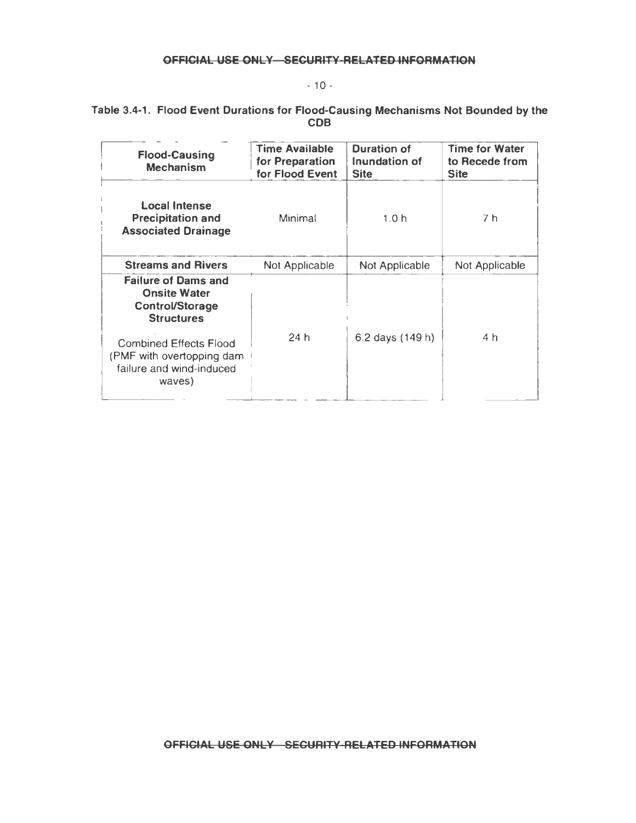# $- 10 -$

## Table 3-4-1. Flood Event Durations for Flood-Causing Mechanisms Not Bounded by the COB

| <b>Flood-Causing</b><br>Mechanism                                                                | <b>Time Available</b><br>for Preparation<br>for Flood Event | <b>Duration of</b><br>Inundation of<br><b>Site</b> | <b>Time for Water</b><br>to Recede from<br><b>Site</b> |
|--------------------------------------------------------------------------------------------------|-------------------------------------------------------------|----------------------------------------------------|--------------------------------------------------------|
| <b>Local Intense</b><br><b>Precipitation and</b><br><b>Associated Drainage</b>                   | Minimal                                                     | 1.0 <sub>h</sub>                                   | 7 h                                                    |
| <b>Streams and Rivers</b>                                                                        | Not Applicable                                              | Not Applicable                                     | Not Applicable                                         |
| <b>Failure of Dams and</b><br><b>Onsite Water</b><br><b>Control/Storage</b><br><b>Structures</b> |                                                             |                                                    |                                                        |
| <b>Combined Effects Flood</b><br>(PMF with overtopping dam<br>failure and wind-induced<br>waves) | 24h                                                         | 6.2 days (149 h)                                   | 4 h                                                    |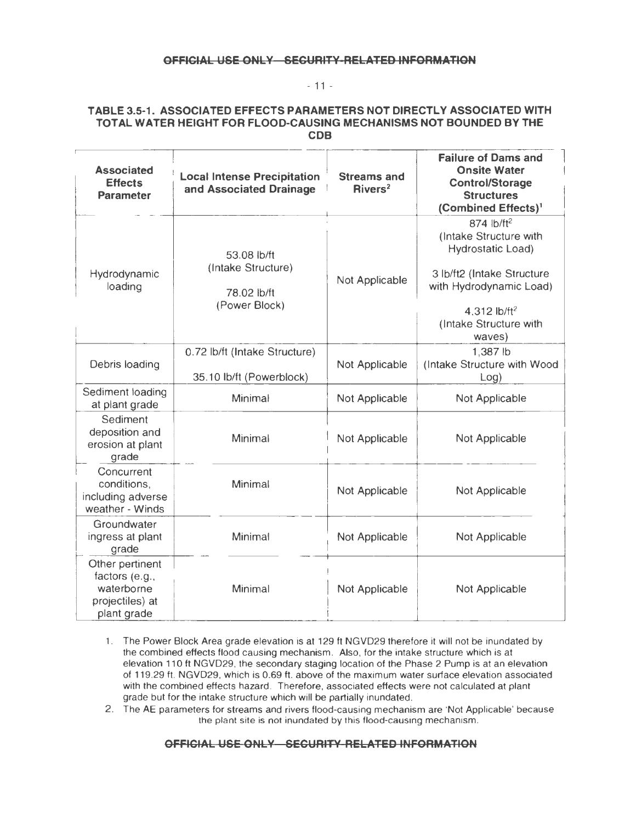#### - 11 -

#### **TABLE 3.5-1. ASSOCIATED EFFECTS PARAMETERS NOT DIRECTLY ASSOCIATED WITH TOTAL WATER HEIGHT FOR FLOOD-CAUSING MECHANISMS NOT BOUNDED BY THE COB**

| <b>Associated</b><br><b>Effects</b><br><b>Parameter</b>                           | <b>Local Intense Precipitation</b><br>and Associated Drainage     | <b>Streams and</b><br>Rivers <sup>2</sup> | <b>Failure of Dams and</b><br><b>Onsite Water</b><br><b>Control/Storage</b><br><b>Structures</b><br>(Combined Effects) <sup>1</sup>                                                   |
|-----------------------------------------------------------------------------------|-------------------------------------------------------------------|-------------------------------------------|---------------------------------------------------------------------------------------------------------------------------------------------------------------------------------------|
| Hydrodynamic<br>loading                                                           | 53.08 lb/ft<br>(Intake Structure)<br>78.02 lb/ft<br>(Power Block) | Not Applicable                            | 874 lb/ft <sup>2</sup><br>(Intake Structure with<br>Hydrostatic Load)<br>3 lb/ft2 (Intake Structure<br>with Hydrodynamic Load)<br>4.312 $lb/ft^2$<br>(Intake Structure with<br>waves) |
| Debris loading                                                                    | 0.72 lb/ft (Intake Structure)<br>35.10 lb/ft (Powerblock)         | Not Applicable                            | 1,387 lb<br>(Intake Structure with Wood<br>Log)                                                                                                                                       |
| Sediment loading<br>at plant grade                                                | Minimal                                                           | Not Applicable                            | Not Applicable                                                                                                                                                                        |
| Sediment<br>deposition and<br>erosion at plant<br>grade                           | Minimal                                                           | Not Applicable                            | Not Applicable                                                                                                                                                                        |
| Concurrent<br>conditions,<br>including adverse<br>weather - Winds                 | Minimal                                                           | Not Applicable                            | Not Applicable                                                                                                                                                                        |
| Groundwater<br>ingress at plant<br>grade                                          | Minimal                                                           | Not Applicable                            | Not Applicable                                                                                                                                                                        |
| Other pertinent<br>factors (e.g.,<br>waterborne<br>projectiles) at<br>plant grade | Minimal                                                           | Not Applicable                            | Not Applicable                                                                                                                                                                        |

- 1. The Power Block Area grade elevation is at 129 ft NGVD29 therefore it will not be inundated by the combined effects flood causing mechanism. Also, tor the intake structure which is at elevation 11 O ft NGVD29, the secondary staging location of the Phase 2 Pump is at an elevation of 119.29 ft. NGVD29, which is 0.69 ft. above of the maximum water surface elevation associated with the combined effects hazard. Therefore, associated effects were not calculated at plant grade but tor the intake structure which will be partially inundated.
- 2. The AE parameters for streams and rivers flood-causing mechanism are 'Not Applicable' because the plant site is not inundated by this flood-causing mechanism.